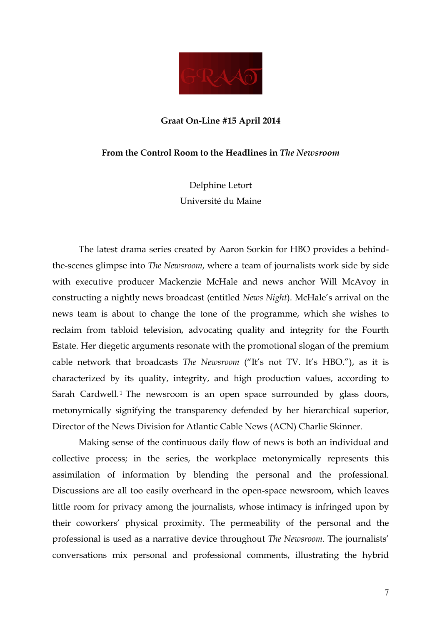

# **Graat On-Line #15 April 2014**

### **From the Control Room to the Headlines in** *The Newsroom*

Delphine Letort Université du Maine

The latest drama series created by Aaron Sorkin for HBO provides a behindthe-scenes glimpse into *The Newsroom*, where a team of journalists work side by side with executive producer Mackenzie McHale and news anchor Will McAvoy in constructing a nightly news broadcast (entitled *News Night*). McHale's arrival on the news team is about to change the tone of the programme, which she wishes to reclaim from tabloid television, advocating quality and integrity for the Fourth Estate. Her diegetic arguments resonate with the promotional slogan of the premium cable network that broadcasts *The Newsroom* ("It's not TV. It's HBO."), as it is characterized by its quality, integrity, and high production values, according to Sarah Cardwell.<sup>1</sup> The newsroom is an open space surrounded by glass doors, metonymically signifying the transparency defended by her hierarchical superior, Director of the News Division for Atlantic Cable News (ACN) Charlie Skinner.

Making sense of the continuous daily flow of news is both an individual and collective process; in the series, the workplace metonymically represents this assimilation of information by blending the personal and the professional. Discussions are all too easily overheard in the open-space newsroom, which leaves little room for privacy among the journalists, whose intimacy is infringed upon by their coworkers' physical proximity. The permeability of the personal and the professional is used as a narrative device throughout *The Newsroom*. The journalists' conversations mix personal and professional comments, illustrating the hybrid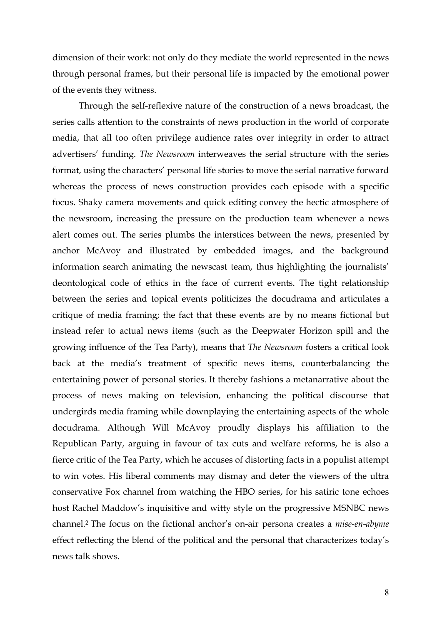dimension of their work: not only do they mediate the world represented in the news through personal frames, but their personal life is impacted by the emotional power of the events they witness.

Through the self-reflexive nature of the construction of a news broadcast, the series calls attention to the constraints of news production in the world of corporate media, that all too often privilege audience rates over integrity in order to attract advertisers' funding. *The Newsroom* interweaves the serial structure with the series format, using the characters' personal life stories to move the serial narrative forward whereas the process of news construction provides each episode with a specific focus. Shaky camera movements and quick editing convey the hectic atmosphere of the newsroom, increasing the pressure on the production team whenever a news alert comes out. The series plumbs the interstices between the news, presented by anchor McAvoy and illustrated by embedded images, and the background information search animating the newscast team, thus highlighting the journalists' deontological code of ethics in the face of current events. The tight relationship between the series and topical events politicizes the docudrama and articulates a critique of media framing; the fact that these events are by no means fictional but instead refer to actual news items (such as the Deepwater Horizon spill and the growing influence of the Tea Party), means that *The Newsroom* fosters a critical look back at the media's treatment of specific news items, counterbalancing the entertaining power of personal stories. It thereby fashions a metanarrative about the process of news making on television, enhancing the political discourse that undergirds media framing while downplaying the entertaining aspects of the whole docudrama. Although Will McAvoy proudly displays his affiliation to the Republican Party, arguing in favour of tax cuts and welfare reforms, he is also a fierce critic of the Tea Party, which he accuses of distorting facts in a populist attempt to win votes. His liberal comments may dismay and deter the viewers of the ultra conservative Fox channel from watching the HBO series, for his satiric tone echoes host Rachel Maddow's inquisitive and witty style on the progressive MSNBC news channel. <sup>2</sup> The focus on the fictional anchor's on-air persona creates a *mise-en-abyme* effect reflecting the blend of the political and the personal that characterizes today's news talk shows.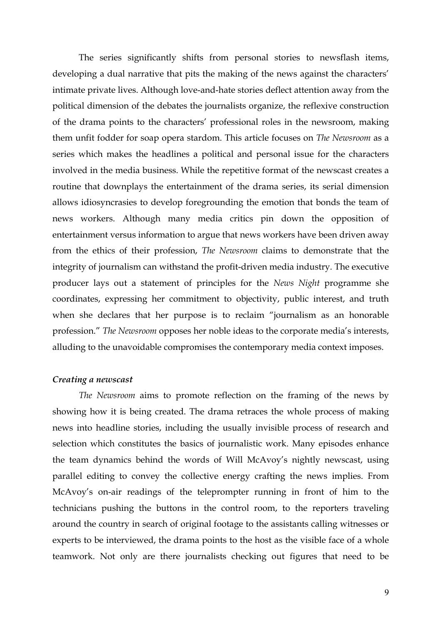The series significantly shifts from personal stories to newsflash items, developing a dual narrative that pits the making of the news against the characters' intimate private lives. Although love-and-hate stories deflect attention away from the political dimension of the debates the journalists organize, the reflexive construction of the drama points to the characters' professional roles in the newsroom, making them unfit fodder for soap opera stardom. This article focuses on *The Newsroom* as a series which makes the headlines a political and personal issue for the characters involved in the media business. While the repetitive format of the newscast creates a routine that downplays the entertainment of the drama series, its serial dimension allows idiosyncrasies to develop foregrounding the emotion that bonds the team of news workers. Although many media critics pin down the opposition of entertainment versus information to argue that news workers have been driven away from the ethics of their profession, *The Newsroom* claims to demonstrate that the integrity of journalism can withstand the profit-driven media industry. The executive producer lays out a statement of principles for the *News Night* programme she coordinates, expressing her commitment to objectivity, public interest, and truth when she declares that her purpose is to reclaim "journalism as an honorable profession." *The Newsroom* opposes her noble ideas to the corporate media's interests, alluding to the unavoidable compromises the contemporary media context imposes.

### *Creating a newscast*

*The Newsroom* aims to promote reflection on the framing of the news by showing how it is being created. The drama retraces the whole process of making news into headline stories, including the usually invisible process of research and selection which constitutes the basics of journalistic work. Many episodes enhance the team dynamics behind the words of Will McAvoy's nightly newscast, using parallel editing to convey the collective energy crafting the news implies. From McAvoy's on-air readings of the teleprompter running in front of him to the technicians pushing the buttons in the control room, to the reporters traveling around the country in search of original footage to the assistants calling witnesses or experts to be interviewed, the drama points to the host as the visible face of a whole teamwork. Not only are there journalists checking out figures that need to be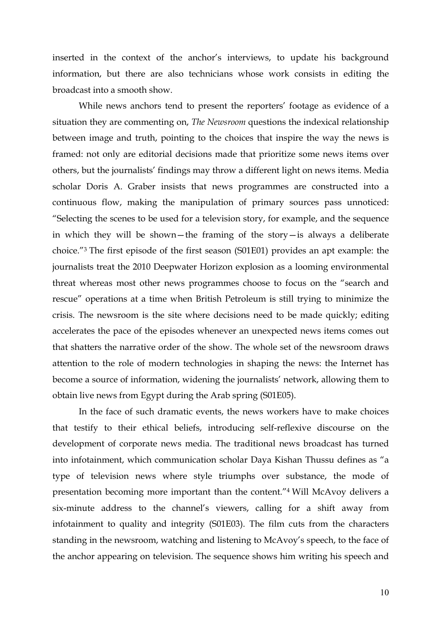inserted in the context of the anchor's interviews, to update his background information, but there are also technicians whose work consists in editing the broadcast into a smooth show.

While news anchors tend to present the reporters' footage as evidence of a situation they are commenting on, *The Newsroom* questions the indexical relationship between image and truth, pointing to the choices that inspire the way the news is framed: not only are editorial decisions made that prioritize some news items over others, but the journalists' findings may throw a different light on news items. Media scholar Doris A. Graber insists that news programmes are constructed into a continuous flow, making the manipulation of primary sources pass unnoticed: "Selecting the scenes to be used for a television story, for example, and the sequence in which they will be shown—the framing of the story—is always a deliberate choice."3 The first episode of the first season (S01E01) provides an apt example: the journalists treat the 2010 Deepwater Horizon explosion as a looming environmental threat whereas most other news programmes choose to focus on the "search and rescue" operations at a time when British Petroleum is still trying to minimize the crisis. The newsroom is the site where decisions need to be made quickly; editing accelerates the pace of the episodes whenever an unexpected news items comes out that shatters the narrative order of the show. The whole set of the newsroom draws attention to the role of modern technologies in shaping the news: the Internet has become a source of information, widening the journalists' network, allowing them to obtain live news from Egypt during the Arab spring (S01E05).

In the face of such dramatic events, the news workers have to make choices that testify to their ethical beliefs, introducing self-reflexive discourse on the development of corporate news media. The traditional news broadcast has turned into infotainment, which communication scholar Daya Kishan Thussu defines as "a type of television news where style triumphs over substance, the mode of presentation becoming more important than the content."4 Will McAvoy delivers a six-minute address to the channel's viewers, calling for a shift away from infotainment to quality and integrity (S01E03). The film cuts from the characters standing in the newsroom, watching and listening to McAvoy's speech, to the face of the anchor appearing on television. The sequence shows him writing his speech and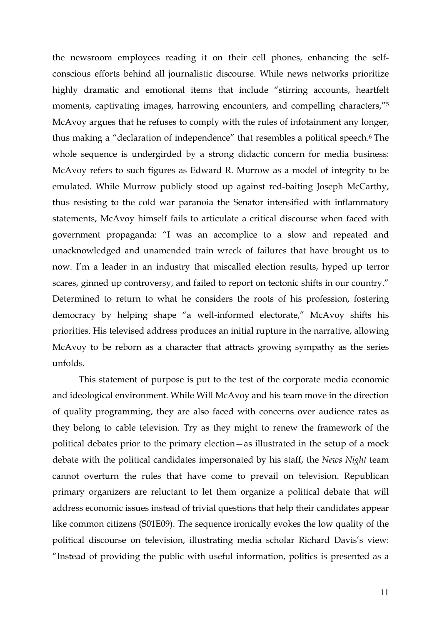the newsroom employees reading it on their cell phones, enhancing the selfconscious efforts behind all journalistic discourse. While news networks prioritize highly dramatic and emotional items that include "stirring accounts, heartfelt moments, captivating images, harrowing encounters, and compelling characters,"5 McAvoy argues that he refuses to comply with the rules of infotainment any longer, thus making a "declaration of independence" that resembles a political speech.6 The whole sequence is undergirded by a strong didactic concern for media business: McAvoy refers to such figures as Edward R. Murrow as a model of integrity to be emulated. While Murrow publicly stood up against red-baiting Joseph McCarthy, thus resisting to the cold war paranoia the Senator intensified with inflammatory statements, McAvoy himself fails to articulate a critical discourse when faced with government propaganda: "I was an accomplice to a slow and repeated and unacknowledged and unamended train wreck of failures that have brought us to now. I'm a leader in an industry that miscalled election results, hyped up terror scares, ginned up controversy, and failed to report on tectonic shifts in our country." Determined to return to what he considers the roots of his profession, fostering democracy by helping shape "a well-informed electorate," McAvoy shifts his priorities. His televised address produces an initial rupture in the narrative, allowing McAvoy to be reborn as a character that attracts growing sympathy as the series unfolds.

This statement of purpose is put to the test of the corporate media economic and ideological environment. While Will McAvoy and his team move in the direction of quality programming, they are also faced with concerns over audience rates as they belong to cable television. Try as they might to renew the framework of the political debates prior to the primary election—as illustrated in the setup of a mock debate with the political candidates impersonated by his staff, the *News Night* team cannot overturn the rules that have come to prevail on television. Republican primary organizers are reluctant to let them organize a political debate that will address economic issues instead of trivial questions that help their candidates appear like common citizens (S01E09). The sequence ironically evokes the low quality of the political discourse on television, illustrating media scholar Richard Davis's view: "Instead of providing the public with useful information, politics is presented as a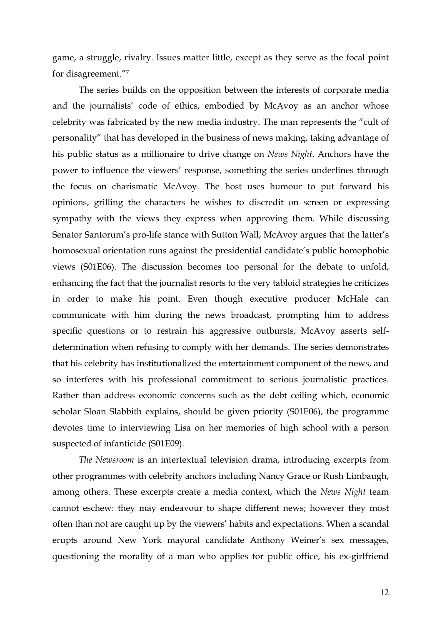game, a struggle, rivalry. Issues matter little, except as they serve as the focal point for disagreement."7

The series builds on the opposition between the interests of corporate media and the journalists' code of ethics, embodied by McAvoy as an anchor whose celebrity was fabricated by the new media industry. The man represents the "cult of personality" that has developed in the business of news making, taking advantage of his public status as a millionaire to drive change on *News Night.* Anchors have the power to influence the viewers' response, something the series underlines through the focus on charismatic McAvoy. The host uses humour to put forward his opinions, grilling the characters he wishes to discredit on screen or expressing sympathy with the views they express when approving them. While discussing Senator Santorum's pro-life stance with Sutton Wall, McAvoy argues that the latter's homosexual orientation runs against the presidential candidate's public homophobic views (S01E06). The discussion becomes too personal for the debate to unfold, enhancing the fact that the journalist resorts to the very tabloid strategies he criticizes in order to make his point. Even though executive producer McHale can communicate with him during the news broadcast, prompting him to address specific questions or to restrain his aggressive outbursts, McAvoy asserts selfdetermination when refusing to comply with her demands. The series demonstrates that his celebrity has institutionalized the entertainment component of the news, and so interferes with his professional commitment to serious journalistic practices. Rather than address economic concerns such as the debt ceiling which, economic scholar Sloan Slabbith explains, should be given priority (S01E06), the programme devotes time to interviewing Lisa on her memories of high school with a person suspected of infanticide (S01E09).

*The Newsroom* is an intertextual television drama, introducing excerpts from other programmes with celebrity anchors including Nancy Grace or Rush Limbaugh, among others. These excerpts create a media context, which the *News Night* team cannot eschew: they may endeavour to shape different news; however they most often than not are caught up by the viewers' habits and expectations. When a scandal erupts around New York mayoral candidate Anthony Weiner's sex messages, questioning the morality of a man who applies for public office, his ex-girlfriend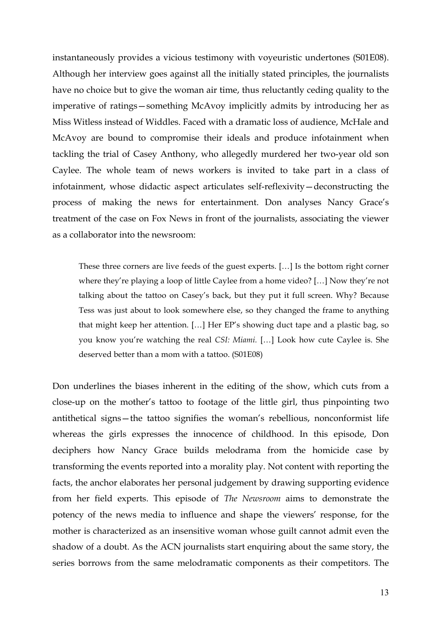instantaneously provides a vicious testimony with voyeuristic undertones (S01E08). Although her interview goes against all the initially stated principles, the journalists have no choice but to give the woman air time, thus reluctantly ceding quality to the imperative of ratings—something McAvoy implicitly admits by introducing her as Miss Witless instead of Widdles. Faced with a dramatic loss of audience, McHale and McAvoy are bound to compromise their ideals and produce infotainment when tackling the trial of Casey Anthony, who allegedly murdered her two-year old son Caylee. The whole team of news workers is invited to take part in a class of infotainment, whose didactic aspect articulates self-reflexivity—deconstructing the process of making the news for entertainment. Don analyses Nancy Grace's treatment of the case on Fox News in front of the journalists, associating the viewer as a collaborator into the newsroom:

These three corners are live feeds of the guest experts. […] Is the bottom right corner where they're playing a loop of little Caylee from a home video? […] Now they're not talking about the tattoo on Casey's back, but they put it full screen. Why? Because Tess was just about to look somewhere else, so they changed the frame to anything that might keep her attention. […] Her EP's showing duct tape and a plastic bag, so you know you're watching the real *CSI: Miami.* […] Look how cute Caylee is. She deserved better than a mom with a tattoo. (S01E08)

Don underlines the biases inherent in the editing of the show, which cuts from a close-up on the mother's tattoo to footage of the little girl, thus pinpointing two antithetical signs—the tattoo signifies the woman's rebellious, nonconformist life whereas the girls expresses the innocence of childhood. In this episode, Don deciphers how Nancy Grace builds melodrama from the homicide case by transforming the events reported into a morality play. Not content with reporting the facts, the anchor elaborates her personal judgement by drawing supporting evidence from her field experts. This episode of *The Newsroom* aims to demonstrate the potency of the news media to influence and shape the viewers' response, for the mother is characterized as an insensitive woman whose guilt cannot admit even the shadow of a doubt. As the ACN journalists start enquiring about the same story, the series borrows from the same melodramatic components as their competitors. The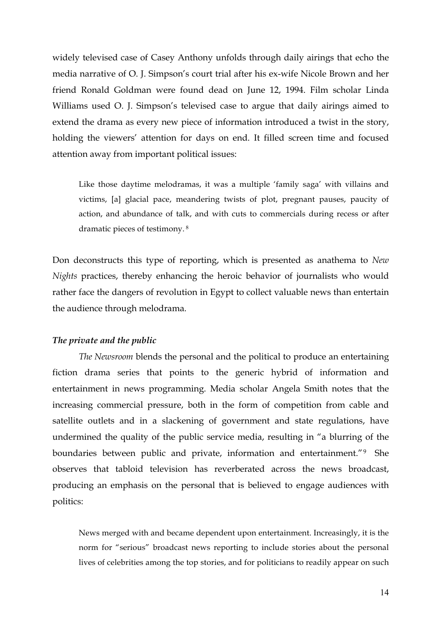widely televised case of Casey Anthony unfolds through daily airings that echo the media narrative of O. J. Simpson's court trial after his ex-wife Nicole Brown and her friend Ronald Goldman were found dead on June 12, 1994. Film scholar Linda Williams used O. J. Simpson's televised case to argue that daily airings aimed to extend the drama as every new piece of information introduced a twist in the story, holding the viewers' attention for days on end. It filled screen time and focused attention away from important political issues:

Like those daytime melodramas, it was a multiple 'family saga' with villains and victims, [a] glacial pace, meandering twists of plot, pregnant pauses, paucity of action, and abundance of talk, and with cuts to commercials during recess or after dramatic pieces of testimony. <sup>8</sup>

Don deconstructs this type of reporting, which is presented as anathema to *New Nights* practices, thereby enhancing the heroic behavior of journalists who would rather face the dangers of revolution in Egypt to collect valuable news than entertain the audience through melodrama.

### *The private and the public*

*The Newsroom* blends the personal and the political to produce an entertaining fiction drama series that points to the generic hybrid of information and entertainment in news programming. Media scholar Angela Smith notes that the increasing commercial pressure, both in the form of competition from cable and satellite outlets and in a slackening of government and state regulations, have undermined the quality of the public service media, resulting in "a blurring of the boundaries between public and private, information and entertainment."9 She observes that tabloid television has reverberated across the news broadcast, producing an emphasis on the personal that is believed to engage audiences with politics:

News merged with and became dependent upon entertainment. Increasingly, it is the norm for "serious" broadcast news reporting to include stories about the personal lives of celebrities among the top stories, and for politicians to readily appear on such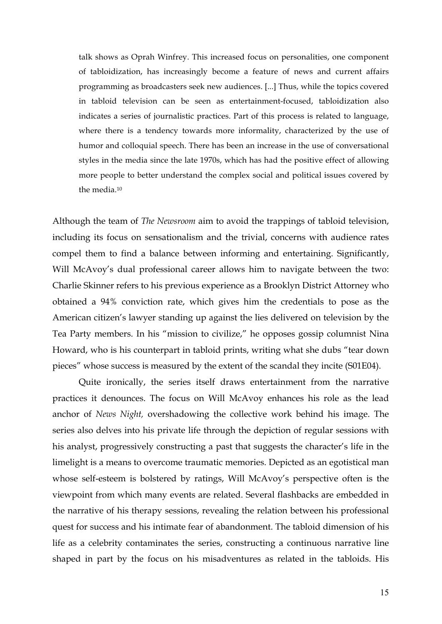talk shows as Oprah Winfrey. This increased focus on personalities, one component of tabloidization, has increasingly become a feature of news and current affairs programming as broadcasters seek new audiences. [...] Thus, while the topics covered in tabloid television can be seen as entertainment-focused, tabloidization also indicates a series of journalistic practices. Part of this process is related to language, where there is a tendency towards more informality, characterized by the use of humor and colloquial speech. There has been an increase in the use of conversational styles in the media since the late 1970s, which has had the positive effect of allowing more people to better understand the complex social and political issues covered by the media.10

Although the team of *The Newsroom* aim to avoid the trappings of tabloid television, including its focus on sensationalism and the trivial, concerns with audience rates compel them to find a balance between informing and entertaining. Significantly, Will McAvoy's dual professional career allows him to navigate between the two: Charlie Skinner refers to his previous experience as a Brooklyn District Attorney who obtained a 94% conviction rate, which gives him the credentials to pose as the American citizen's lawyer standing up against the lies delivered on television by the Tea Party members. In his "mission to civilize," he opposes gossip columnist Nina Howard, who is his counterpart in tabloid prints, writing what she dubs "tear down pieces" whose success is measured by the extent of the scandal they incite (S01E04).

Quite ironically, the series itself draws entertainment from the narrative practices it denounces. The focus on Will McAvoy enhances his role as the lead anchor of *News Night,* overshadowing the collective work behind his image. The series also delves into his private life through the depiction of regular sessions with his analyst, progressively constructing a past that suggests the character's life in the limelight is a means to overcome traumatic memories. Depicted as an egotistical man whose self-esteem is bolstered by ratings, Will McAvoy's perspective often is the viewpoint from which many events are related. Several flashbacks are embedded in the narrative of his therapy sessions, revealing the relation between his professional quest for success and his intimate fear of abandonment. The tabloid dimension of his life as a celebrity contaminates the series, constructing a continuous narrative line shaped in part by the focus on his misadventures as related in the tabloids. His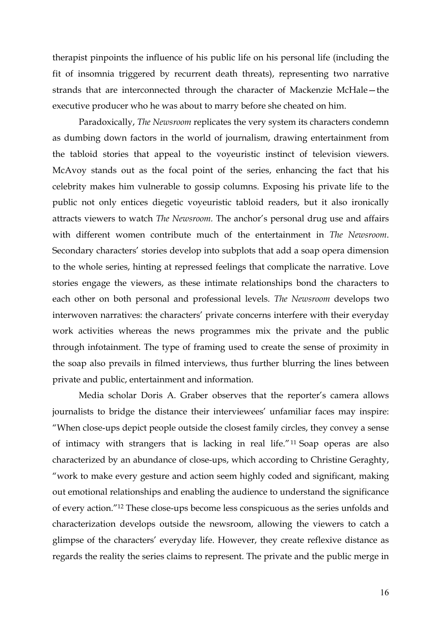therapist pinpoints the influence of his public life on his personal life (including the fit of insomnia triggered by recurrent death threats), representing two narrative strands that are interconnected through the character of Mackenzie McHale—the executive producer who he was about to marry before she cheated on him.

Paradoxically, *The Newsroom* replicates the very system its characters condemn as dumbing down factors in the world of journalism, drawing entertainment from the tabloid stories that appeal to the voyeuristic instinct of television viewers. McAvoy stands out as the focal point of the series, enhancing the fact that his celebrity makes him vulnerable to gossip columns. Exposing his private life to the public not only entices diegetic voyeuristic tabloid readers, but it also ironically attracts viewers to watch *The Newsroom.* The anchor's personal drug use and affairs with different women contribute much of the entertainment in *The Newsroom*. Secondary characters' stories develop into subplots that add a soap opera dimension to the whole series, hinting at repressed feelings that complicate the narrative. Love stories engage the viewers, as these intimate relationships bond the characters to each other on both personal and professional levels. *The Newsroom* develops two interwoven narratives: the characters' private concerns interfere with their everyday work activities whereas the news programmes mix the private and the public through infotainment. The type of framing used to create the sense of proximity in the soap also prevails in filmed interviews, thus further blurring the lines between private and public, entertainment and information.

Media scholar Doris A. Graber observes that the reporter's camera allows journalists to bridge the distance their interviewees' unfamiliar faces may inspire: "When close-ups depict people outside the closest family circles, they convey a sense of intimacy with strangers that is lacking in real life."11 Soap operas are also characterized by an abundance of close-ups, which according to Christine Geraghty, "work to make every gesture and action seem highly coded and significant, making out emotional relationships and enabling the audience to understand the significance of every action."12 These close-ups become less conspicuous as the series unfolds and characterization develops outside the newsroom, allowing the viewers to catch a glimpse of the characters' everyday life. However, they create reflexive distance as regards the reality the series claims to represent. The private and the public merge in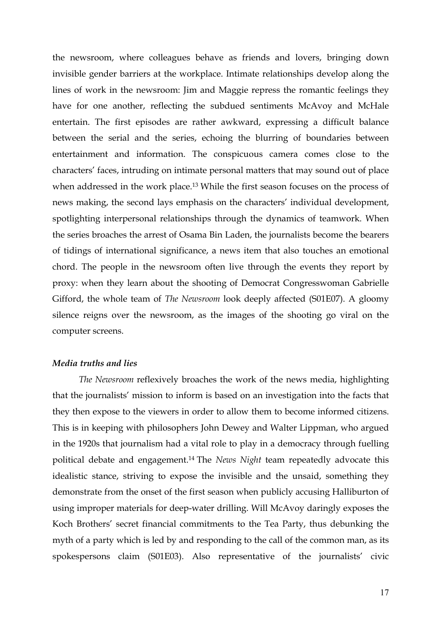the newsroom, where colleagues behave as friends and lovers, bringing down invisible gender barriers at the workplace. Intimate relationships develop along the lines of work in the newsroom: Jim and Maggie repress the romantic feelings they have for one another, reflecting the subdued sentiments McAvoy and McHale entertain. The first episodes are rather awkward, expressing a difficult balance between the serial and the series, echoing the blurring of boundaries between entertainment and information. The conspicuous camera comes close to the characters' faces, intruding on intimate personal matters that may sound out of place when addressed in the work place.13 While the first season focuses on the process of news making, the second lays emphasis on the characters' individual development, spotlighting interpersonal relationships through the dynamics of teamwork. When the series broaches the arrest of Osama Bin Laden, the journalists become the bearers of tidings of international significance, a news item that also touches an emotional chord. The people in the newsroom often live through the events they report by proxy: when they learn about the shooting of Democrat Congresswoman Gabrielle Gifford, the whole team of *The Newsroom* look deeply affected (S01E07). A gloomy silence reigns over the newsroom, as the images of the shooting go viral on the computer screens.

## *Media truths and lies*

*The Newsroom* reflexively broaches the work of the news media, highlighting that the journalists' mission to inform is based on an investigation into the facts that they then expose to the viewers in order to allow them to become informed citizens. This is in keeping with philosophers John Dewey and Walter Lippman, who argued in the 1920s that journalism had a vital role to play in a democracy through fuelling political debate and engagement. <sup>14</sup> The *News Night* team repeatedly advocate this idealistic stance, striving to expose the invisible and the unsaid, something they demonstrate from the onset of the first season when publicly accusing Halliburton of using improper materials for deep-water drilling. Will McAvoy daringly exposes the Koch Brothers' secret financial commitments to the Tea Party, thus debunking the myth of a party which is led by and responding to the call of the common man, as its spokespersons claim (S01E03). Also representative of the journalists' civic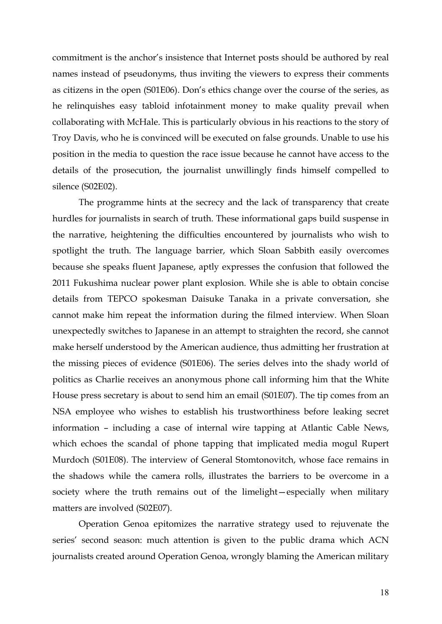commitment is the anchor's insistence that Internet posts should be authored by real names instead of pseudonyms, thus inviting the viewers to express their comments as citizens in the open (S01E06). Don's ethics change over the course of the series, as he relinquishes easy tabloid infotainment money to make quality prevail when collaborating with McHale. This is particularly obvious in his reactions to the story of Troy Davis, who he is convinced will be executed on false grounds. Unable to use his position in the media to question the race issue because he cannot have access to the details of the prosecution, the journalist unwillingly finds himself compelled to silence (S02E02).

The programme hints at the secrecy and the lack of transparency that create hurdles for journalists in search of truth. These informational gaps build suspense in the narrative, heightening the difficulties encountered by journalists who wish to spotlight the truth. The language barrier, which Sloan Sabbith easily overcomes because she speaks fluent Japanese, aptly expresses the confusion that followed the 2011 Fukushima nuclear power plant explosion. While she is able to obtain concise details from TEPCO spokesman Daisuke Tanaka in a private conversation, she cannot make him repeat the information during the filmed interview. When Sloan unexpectedly switches to Japanese in an attempt to straighten the record, she cannot make herself understood by the American audience, thus admitting her frustration at the missing pieces of evidence (S01E06). The series delves into the shady world of politics as Charlie receives an anonymous phone call informing him that the White House press secretary is about to send him an email (S01E07). The tip comes from an NSA employee who wishes to establish his trustworthiness before leaking secret information – including a case of internal wire tapping at Atlantic Cable News, which echoes the scandal of phone tapping that implicated media mogul Rupert Murdoch (S01E08). The interview of General Stomtonovitch, whose face remains in the shadows while the camera rolls, illustrates the barriers to be overcome in a society where the truth remains out of the limelight—especially when military matters are involved (S02E07).

Operation Genoa epitomizes the narrative strategy used to rejuvenate the series' second season: much attention is given to the public drama which ACN journalists created around Operation Genoa, wrongly blaming the American military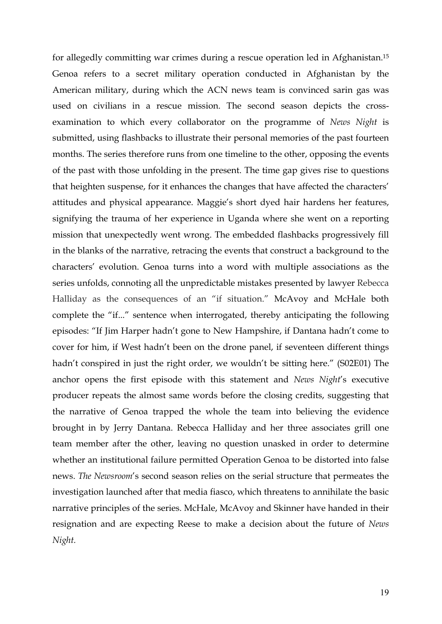for allegedly committing war crimes during a rescue operation led in Afghanistan.15 Genoa refers to a secret military operation conducted in Afghanistan by the American military, during which the ACN news team is convinced sarin gas was used on civilians in a rescue mission. The second season depicts the crossexamination to which every collaborator on the programme of *News Night* is submitted, using flashbacks to illustrate their personal memories of the past fourteen months. The series therefore runs from one timeline to the other, opposing the events of the past with those unfolding in the present. The time gap gives rise to questions that heighten suspense, for it enhances the changes that have affected the characters' attitudes and physical appearance. Maggie's short dyed hair hardens her features, signifying the trauma of her experience in Uganda where she went on a reporting mission that unexpectedly went wrong. The embedded flashbacks progressively fill in the blanks of the narrative, retracing the events that construct a background to the characters' evolution. Genoa turns into a word with multiple associations as the series unfolds, connoting all the unpredictable mistakes presented by lawyer Rebecca Halliday as the consequences of an "if situation." McAvoy and McHale both complete the "if..." sentence when interrogated, thereby anticipating the following episodes: "If Jim Harper hadn't gone to New Hampshire, if Dantana hadn't come to cover for him, if West hadn't been on the drone panel, if seventeen different things hadn't conspired in just the right order, we wouldn't be sitting here." (S02E01) The anchor opens the first episode with this statement and *News Night*'s executive producer repeats the almost same words before the closing credits, suggesting that the narrative of Genoa trapped the whole the team into believing the evidence brought in by Jerry Dantana. Rebecca Halliday and her three associates grill one team member after the other, leaving no question unasked in order to determine whether an institutional failure permitted Operation Genoa to be distorted into false news. *The Newsroom*'s second season relies on the serial structure that permeates the investigation launched after that media fiasco, which threatens to annihilate the basic narrative principles of the series. McHale, McAvoy and Skinner have handed in their resignation and are expecting Reese to make a decision about the future of *News Night.*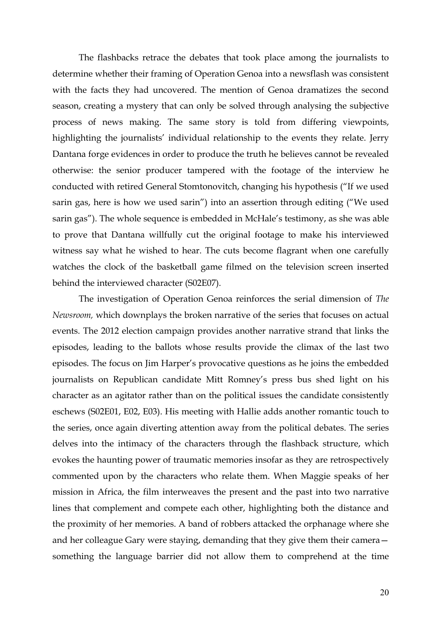The flashbacks retrace the debates that took place among the journalists to determine whether their framing of Operation Genoa into a newsflash was consistent with the facts they had uncovered. The mention of Genoa dramatizes the second season, creating a mystery that can only be solved through analysing the subjective process of news making. The same story is told from differing viewpoints, highlighting the journalists' individual relationship to the events they relate. Jerry Dantana forge evidences in order to produce the truth he believes cannot be revealed otherwise: the senior producer tampered with the footage of the interview he conducted with retired General Stomtonovitch, changing his hypothesis ("If we used sarin gas, here is how we used sarin") into an assertion through editing ("We used sarin gas"). The whole sequence is embedded in McHale's testimony, as she was able to prove that Dantana willfully cut the original footage to make his interviewed witness say what he wished to hear. The cuts become flagrant when one carefully watches the clock of the basketball game filmed on the television screen inserted behind the interviewed character (S02E07).

The investigation of Operation Genoa reinforces the serial dimension of *The Newsroom,* which downplays the broken narrative of the series that focuses on actual events. The 2012 election campaign provides another narrative strand that links the episodes, leading to the ballots whose results provide the climax of the last two episodes. The focus on Jim Harper's provocative questions as he joins the embedded journalists on Republican candidate Mitt Romney's press bus shed light on his character as an agitator rather than on the political issues the candidate consistently eschews (S02E01, E02, E03). His meeting with Hallie adds another romantic touch to the series, once again diverting attention away from the political debates. The series delves into the intimacy of the characters through the flashback structure, which evokes the haunting power of traumatic memories insofar as they are retrospectively commented upon by the characters who relate them. When Maggie speaks of her mission in Africa, the film interweaves the present and the past into two narrative lines that complement and compete each other, highlighting both the distance and the proximity of her memories. A band of robbers attacked the orphanage where she and her colleague Gary were staying, demanding that they give them their camera something the language barrier did not allow them to comprehend at the time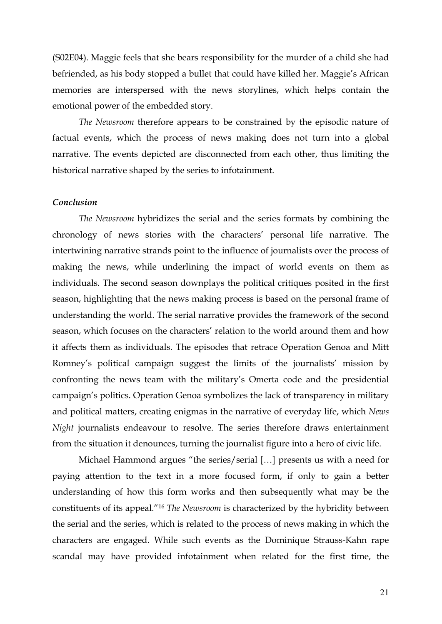(S02E04). Maggie feels that she bears responsibility for the murder of a child she had befriended, as his body stopped a bullet that could have killed her. Maggie's African memories are interspersed with the news storylines, which helps contain the emotional power of the embedded story.

*The Newsroom* therefore appears to be constrained by the episodic nature of factual events, which the process of news making does not turn into a global narrative. The events depicted are disconnected from each other, thus limiting the historical narrative shaped by the series to infotainment.

### *Conclusion*

*The Newsroom* hybridizes the serial and the series formats by combining the chronology of news stories with the characters' personal life narrative. The intertwining narrative strands point to the influence of journalists over the process of making the news, while underlining the impact of world events on them as individuals. The second season downplays the political critiques posited in the first season, highlighting that the news making process is based on the personal frame of understanding the world. The serial narrative provides the framework of the second season, which focuses on the characters' relation to the world around them and how it affects them as individuals. The episodes that retrace Operation Genoa and Mitt Romney's political campaign suggest the limits of the journalists' mission by confronting the news team with the military's Omerta code and the presidential campaign's politics. Operation Genoa symbolizes the lack of transparency in military and political matters, creating enigmas in the narrative of everyday life, which *News Night* journalists endeavour to resolve. The series therefore draws entertainment from the situation it denounces, turning the journalist figure into a hero of civic life.

Michael Hammond argues "the series/serial […] presents us with a need for paying attention to the text in a more focused form, if only to gain a better understanding of how this form works and then subsequently what may be the constituents of its appeal."16 *The Newsroom* is characterized by the hybridity between the serial and the series, which is related to the process of news making in which the characters are engaged. While such events as the Dominique Strauss-Kahn rape scandal may have provided infotainment when related for the first time, the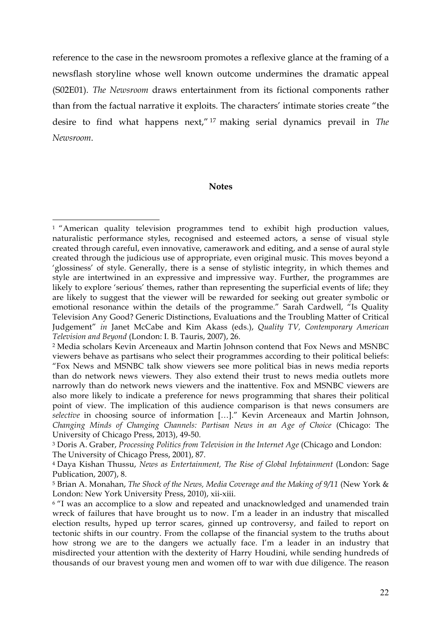reference to the case in the newsroom promotes a reflexive glance at the framing of a newsflash storyline whose well known outcome undermines the dramatic appeal (S02E01). *The Newsroom* draws entertainment from its fictional components rather than from the factual narrative it exploits. The characters' intimate stories create "the desire to find what happens next," <sup>17</sup> making serial dynamics prevail in *The Newsroom*.

#### **Notes**

 

<sup>&</sup>lt;sup>1</sup> "American quality television programmes tend to exhibit high production values, naturalistic performance styles, recognised and esteemed actors, a sense of visual style created through careful, even innovative, camerawork and editing, and a sense of aural style created through the judicious use of appropriate, even original music. This moves beyond a 'glossiness' of style. Generally, there is a sense of stylistic integrity, in which themes and style are intertwined in an expressive and impressive way. Further, the programmes are likely to explore 'serious' themes, rather than representing the superficial events of life; they are likely to suggest that the viewer will be rewarded for seeking out greater symbolic or emotional resonance within the details of the programme." Sarah Cardwell, "Is Quality Television Any Good? Generic Distinctions, Evaluations and the Troubling Matter of Critical Judgement" *in* Janet McCabe and Kim Akass (eds.), *Quality TV, Contemporary American Television and Beyond* (London: I. B. Tauris, 2007), 26.

<sup>2</sup> Media scholars Kevin Arceneaux and Martin Johnson contend that Fox News and MSNBC viewers behave as partisans who select their programmes according to their political beliefs: "Fox News and MSNBC talk show viewers see more political bias in news media reports than do network news viewers. They also extend their trust to news media outlets more narrowly than do network news viewers and the inattentive. Fox and MSNBC viewers are also more likely to indicate a preference for news programming that shares their political point of view. The implication of this audience comparison is that news consumers are *selective* in choosing source of information […]." Kevin Arceneaux and Martin Johnson, *Changing Minds of Changing Channels: Partisan News in an Age of Choice* (Chicago: The University of Chicago Press, 2013), 49-50.

<sup>3</sup> Doris A. Graber, *Processing Politics from Television in the Internet Age* (Chicago and London: The University of Chicago Press, 2001), 87.

<sup>4</sup> Daya Kishan Thussu, *News as Entertainment, The Rise of Global Infotainment* (London: Sage Publication, 2007), 8.

<sup>5</sup> Brian A. Monahan, *The Shock of the News, Media Coverage and the Making of 9/11* (New York & London: New York University Press, 2010), xii-xiii.

<sup>6</sup> "I was an accomplice to a slow and repeated and unacknowledged and unamended train wreck of failures that have brought us to now. I'm a leader in an industry that miscalled election results, hyped up terror scares, ginned up controversy, and failed to report on tectonic shifts in our country. From the collapse of the financial system to the truths about how strong we are to the dangers we actually face. I'm a leader in an industry that misdirected your attention with the dexterity of Harry Houdini, while sending hundreds of thousands of our bravest young men and women off to war with due diligence. The reason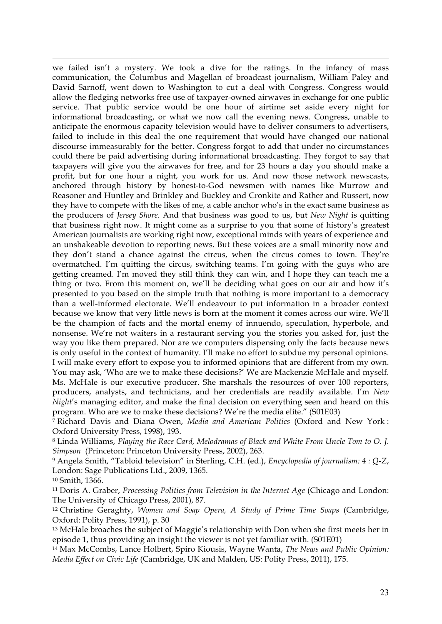we failed isn't a mystery. We took a dive for the ratings. In the infancy of mass communication, the Columbus and Magellan of broadcast journalism, William Paley and David Sarnoff, went down to Washington to cut a deal with Congress. Congress would allow the fledging networks free use of taxpayer-owned airwaves in exchange for one public service. That public service would be one hour of airtime set aside every night for informational broadcasting, or what we now call the evening news. Congress, unable to anticipate the enormous capacity television would have to deliver consumers to advertisers, failed to include in this deal the one requirement that would have changed our national discourse immeasurably for the better. Congress forgot to add that under no circumstances could there be paid advertising during informational broadcasting. They forgot to say that taxpayers will give you the airwaves for free, and for 23 hours a day you should make a profit, but for one hour a night, you work for us. And now those network newscasts, anchored through history by honest-to-God newsmen with names like Murrow and Reasoner and Huntley and Brinkley and Buckley and Cronkite and Rather and Russert, now they have to compete with the likes of me, a cable anchor who's in the exact same business as the producers of *Jersey Shore*. And that business was good to us, but *New Night* is quitting that business right now. It might come as a surprise to you that some of history's greatest American journalists are working right now, exceptional minds with years of experience and an unshakeable devotion to reporting news. But these voices are a small minority now and they don't stand a chance against the circus, when the circus comes to town. They're overmatched. I'm quitting the circus, switching teams. I'm going with the guys who are getting creamed. I'm moved they still think they can win, and I hope they can teach me a thing or two. From this moment on, we'll be deciding what goes on our air and how it's presented to you based on the simple truth that nothing is more important to a democracy than a well-informed electorate. We'll endeavour to put information in a broader context because we know that very little news is born at the moment it comes across our wire. We'll be the champion of facts and the mortal enemy of innuendo, speculation, hyperbole, and nonsense. We're not waiters in a restaurant serving you the stories you asked for, just the way you like them prepared. Nor are we computers dispensing only the facts because news is only useful in the context of humanity. I'll make no effort to subdue my personal opinions. I will make every effort to expose you to informed opinions that are different from my own. You may ask, 'Who are we to make these decisions?' We are Mackenzie McHale and myself. Ms. McHale is our executive producer. She marshals the resources of over 100 reporters, producers, analysts, and technicians, and her credentials are readily available. I'm *New Night*'s managing editor, and make the final decision on everything seen and heard on this program. Who are we to make these decisions? We're the media elite." (S01E03)

<u> 1989 - Andrea Santa Andrea Andrea Andrea Andrea Andrea Andrea Andrea Andrea Andrea Andrea Andrea Andrea Andr</u>

<sup>7</sup> Richard Davis and Diana Owen, *Media and American Politics* (Oxford and New York : Oxford University Press, 1998), 193.

<sup>8</sup> Linda Williams, *Playing the Race Card, Melodramas of Black and White From Uncle Tom to O. J. Simpson* (Princeton: Princeton University Press, 2002), 263.

<sup>9</sup> Angela Smith, "Tabloid television" in Sterling, C.H. (ed.), *Encyclopedia of journalism: 4 : Q-Z*, London: Sage Publications Ltd., 2009, 1365.

<sup>10</sup> Smith, 1366.

<sup>11</sup> Doris A. Graber, *Processing Politics from Television in the Internet Age* (Chicago and London: The University of Chicago Press, 2001), 87.

<sup>12</sup> Christine Geraghty, *Women and Soap Opera, A Study of Prime Time Soaps* (Cambridge, Oxford: Polity Press, 1991), p. 30

<sup>13</sup> McHale broaches the subject of Maggie's relationship with Don when she first meets her in episode 1, thus providing an insight the viewer is not yet familiar with. (S01E01)

<sup>14</sup> Max McCombs, Lance Holbert, Spiro Kiousis, Wayne Wanta, *The News and Public Opinion: Media Effect on Civic Life* (Cambridge, UK and Malden, US: Polity Press, 2011), 175.